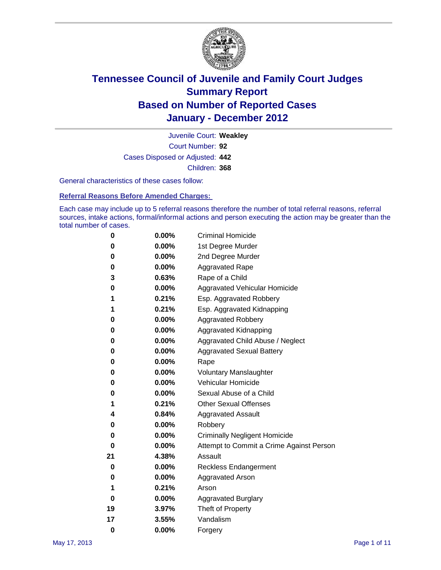

Court Number: **92** Juvenile Court: **Weakley** Cases Disposed or Adjusted: **442** Children: **368**

General characteristics of these cases follow:

**Referral Reasons Before Amended Charges:** 

Each case may include up to 5 referral reasons therefore the number of total referral reasons, referral sources, intake actions, formal/informal actions and person executing the action may be greater than the total number of cases.

| 0  | 0.00% | <b>Criminal Homicide</b>                 |  |  |  |
|----|-------|------------------------------------------|--|--|--|
| 0  | 0.00% | 1st Degree Murder                        |  |  |  |
| 0  | 0.00% | 2nd Degree Murder                        |  |  |  |
| 0  | 0.00% | <b>Aggravated Rape</b>                   |  |  |  |
| 3  | 0.63% | Rape of a Child                          |  |  |  |
| 0  | 0.00% | Aggravated Vehicular Homicide            |  |  |  |
| 1  | 0.21% | Esp. Aggravated Robbery                  |  |  |  |
| 1  | 0.21% | Esp. Aggravated Kidnapping               |  |  |  |
| 0  | 0.00% | Aggravated Robbery                       |  |  |  |
| 0  | 0.00% | Aggravated Kidnapping                    |  |  |  |
| 0  | 0.00% | Aggravated Child Abuse / Neglect         |  |  |  |
| 0  | 0.00% | <b>Aggravated Sexual Battery</b>         |  |  |  |
| 0  | 0.00% | Rape                                     |  |  |  |
| 0  | 0.00% | <b>Voluntary Manslaughter</b>            |  |  |  |
| 0  | 0.00% | Vehicular Homicide                       |  |  |  |
| 0  | 0.00% | Sexual Abuse of a Child                  |  |  |  |
| 1  | 0.21% | <b>Other Sexual Offenses</b>             |  |  |  |
| 4  | 0.84% | <b>Aggravated Assault</b>                |  |  |  |
| 0  | 0.00% | Robbery                                  |  |  |  |
| 0  | 0.00% | <b>Criminally Negligent Homicide</b>     |  |  |  |
| 0  | 0.00% | Attempt to Commit a Crime Against Person |  |  |  |
| 21 | 4.38% | Assault                                  |  |  |  |
| 0  | 0.00% | <b>Reckless Endangerment</b>             |  |  |  |
| 0  | 0.00% | <b>Aggravated Arson</b>                  |  |  |  |
| 1  | 0.21% | Arson                                    |  |  |  |
| 0  | 0.00% | <b>Aggravated Burglary</b>               |  |  |  |
| 19 | 3.97% | Theft of Property                        |  |  |  |
| 17 | 3.55% | Vandalism                                |  |  |  |
| 0  | 0.00% | Forgery                                  |  |  |  |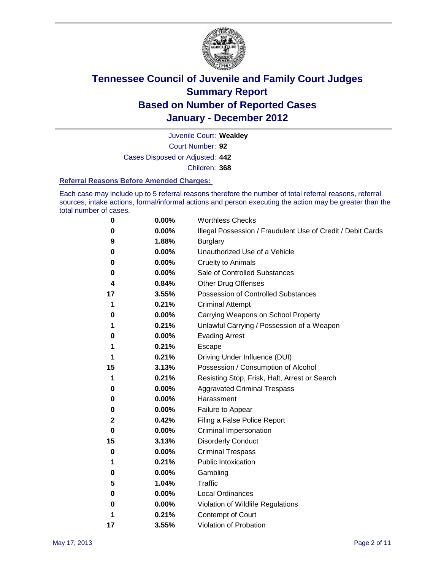

Court Number: **92** Juvenile Court: **Weakley** Cases Disposed or Adjusted: **442** Children: **368**

#### **Referral Reasons Before Amended Charges:**

Each case may include up to 5 referral reasons therefore the number of total referral reasons, referral sources, intake actions, formal/informal actions and person executing the action may be greater than the total number of cases.

| 0  | 0.00% | <b>Worthless Checks</b>                                     |
|----|-------|-------------------------------------------------------------|
| 0  | 0.00% | Illegal Possession / Fraudulent Use of Credit / Debit Cards |
| 9  | 1.88% | <b>Burglary</b>                                             |
| 0  | 0.00% | Unauthorized Use of a Vehicle                               |
| 0  | 0.00% | <b>Cruelty to Animals</b>                                   |
| 0  | 0.00% | Sale of Controlled Substances                               |
| 4  | 0.84% | <b>Other Drug Offenses</b>                                  |
| 17 | 3.55% | Possession of Controlled Substances                         |
| 1  | 0.21% | <b>Criminal Attempt</b>                                     |
| 0  | 0.00% | Carrying Weapons on School Property                         |
| 1  | 0.21% | Unlawful Carrying / Possession of a Weapon                  |
| 0  | 0.00% | <b>Evading Arrest</b>                                       |
| 1  | 0.21% | Escape                                                      |
| 1  | 0.21% | Driving Under Influence (DUI)                               |
| 15 | 3.13% | Possession / Consumption of Alcohol                         |
| 1  | 0.21% | Resisting Stop, Frisk, Halt, Arrest or Search               |
| 0  | 0.00% | <b>Aggravated Criminal Trespass</b>                         |
| 0  | 0.00% | Harassment                                                  |
| 0  | 0.00% | Failure to Appear                                           |
| 2  | 0.42% | Filing a False Police Report                                |
| 0  | 0.00% | Criminal Impersonation                                      |
| 15 | 3.13% | <b>Disorderly Conduct</b>                                   |
| 0  | 0.00% | <b>Criminal Trespass</b>                                    |
| 1  | 0.21% | Public Intoxication                                         |
| 0  | 0.00% | Gambling                                                    |
| 5  | 1.04% | Traffic                                                     |
| 0  | 0.00% | <b>Local Ordinances</b>                                     |
| 0  | 0.00% | Violation of Wildlife Regulations                           |
| 1  | 0.21% | Contempt of Court                                           |
| 17 | 3.55% | Violation of Probation                                      |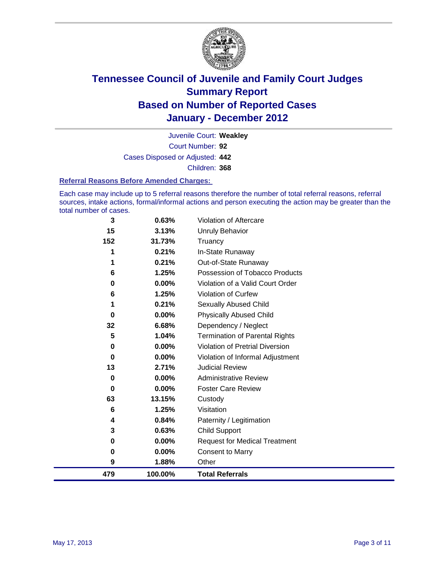

Court Number: **92** Juvenile Court: **Weakley** Cases Disposed or Adjusted: **442** Children: **368**

#### **Referral Reasons Before Amended Charges:**

Each case may include up to 5 referral reasons therefore the number of total referral reasons, referral sources, intake actions, formal/informal actions and person executing the action may be greater than the total number of cases.

| 3        | 0.63%    | Violation of Aftercare                 |
|----------|----------|----------------------------------------|
| 15       | 3.13%    | Unruly Behavior                        |
| 152      | 31.73%   | Truancy                                |
|          | 0.21%    | In-State Runaway                       |
|          | 0.21%    | Out-of-State Runaway                   |
| 6        | 1.25%    | Possession of Tobacco Products         |
| 0        | 0.00%    | Violation of a Valid Court Order       |
| 6        | 1.25%    | Violation of Curfew                    |
|          | 0.21%    | Sexually Abused Child                  |
| 0        | 0.00%    | <b>Physically Abused Child</b>         |
| 32       | 6.68%    | Dependency / Neglect                   |
| 5        | 1.04%    | <b>Termination of Parental Rights</b>  |
| 0        | 0.00%    | <b>Violation of Pretrial Diversion</b> |
| 0        | 0.00%    | Violation of Informal Adjustment       |
| 13       | 2.71%    | <b>Judicial Review</b>                 |
| 0        | $0.00\%$ | <b>Administrative Review</b>           |
| $\bf{0}$ | $0.00\%$ | <b>Foster Care Review</b>              |
| 63       | 13.15%   | Custody                                |
| 6        | 1.25%    | Visitation                             |
| 4        | 0.84%    | Paternity / Legitimation               |
| 3        | 0.63%    | <b>Child Support</b>                   |
| 0        | 0.00%    | <b>Request for Medical Treatment</b>   |
| 0        | 0.00%    | <b>Consent to Marry</b>                |
| 9        | 1.88%    | Other                                  |
| 479      | 100.00%  | <b>Total Referrals</b>                 |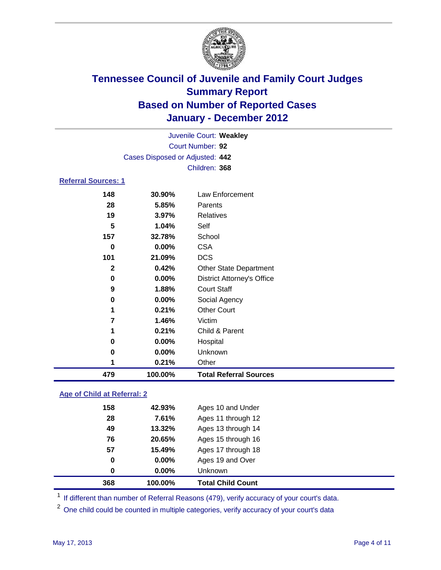

|                            |                                 | Juvenile Court: Weakley           |  |
|----------------------------|---------------------------------|-----------------------------------|--|
|                            |                                 | Court Number: 92                  |  |
|                            | Cases Disposed or Adjusted: 442 |                                   |  |
|                            |                                 | Children: 368                     |  |
| <b>Referral Sources: 1</b> |                                 |                                   |  |
| 148                        | 30.90%                          | Law Enforcement                   |  |
| 28                         | 5.85%                           | Parents                           |  |
| 19                         | 3.97%                           | <b>Relatives</b>                  |  |
| 5                          | 1.04%                           | Self                              |  |
| 157                        | 32.78%                          | School                            |  |
| 0                          | 0.00%                           | <b>CSA</b>                        |  |
| 101                        | 21.09%                          | <b>DCS</b>                        |  |
| $\mathbf{2}$               | 0.42%                           | <b>Other State Department</b>     |  |
| 0                          | 0.00%                           | <b>District Attorney's Office</b> |  |
| 9                          | 1.88%                           | <b>Court Staff</b>                |  |
| 0                          | 0.00%                           | Social Agency                     |  |
| 1                          | 0.21%                           | <b>Other Court</b>                |  |
| 7                          | 1.46%                           | Victim                            |  |
| 1                          | 0.21%                           | Child & Parent                    |  |
| 0                          | 0.00%                           | Hospital                          |  |
| 0                          | $0.00\%$                        | Unknown                           |  |

 **0.21%** Other **100.00% Total Referral Sources**

### **Age of Child at Referral: 2**

| 0   | $0.00\%$ | <b>Unknown</b>     |  |
|-----|----------|--------------------|--|
|     |          |                    |  |
|     | 0.00%    | Ages 19 and Over   |  |
| 57  | 15.49%   | Ages 17 through 18 |  |
| 76  | 20.65%   | Ages 15 through 16 |  |
| 49  | 13.32%   | Ages 13 through 14 |  |
| 28  | 7.61%    | Ages 11 through 12 |  |
| 158 | 42.93%   | Ages 10 and Under  |  |
|     | 0        |                    |  |

<sup>1</sup> If different than number of Referral Reasons (479), verify accuracy of your court's data.

<sup>2</sup> One child could be counted in multiple categories, verify accuracy of your court's data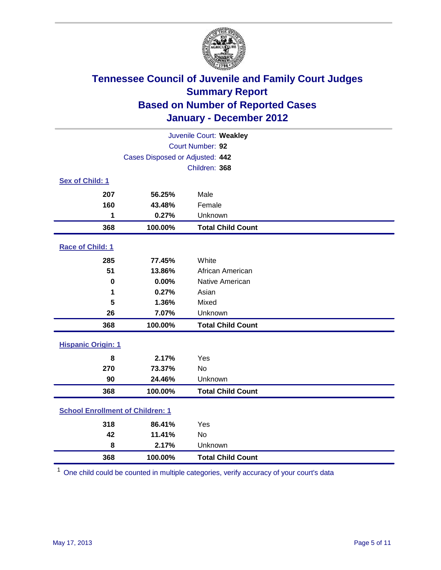

| Juvenile Court: Weakley                 |                                 |                          |  |  |
|-----------------------------------------|---------------------------------|--------------------------|--|--|
|                                         | Court Number: 92                |                          |  |  |
|                                         | Cases Disposed or Adjusted: 442 |                          |  |  |
|                                         |                                 | Children: 368            |  |  |
| Sex of Child: 1                         |                                 |                          |  |  |
| 207                                     | 56.25%                          | Male                     |  |  |
| 160                                     | 43.48%                          | Female                   |  |  |
| 1                                       | 0.27%                           | Unknown                  |  |  |
| 368                                     | 100.00%                         | <b>Total Child Count</b> |  |  |
| Race of Child: 1                        |                                 |                          |  |  |
| 285                                     | 77.45%                          | White                    |  |  |
| 51                                      | 13.86%                          | African American         |  |  |
| $\mathbf 0$                             | 0.00%                           | Native American          |  |  |
| 1                                       | 0.27%                           | Asian                    |  |  |
| 5                                       | 1.36%                           | Mixed                    |  |  |
| 26                                      | 7.07%                           | Unknown                  |  |  |
| 368                                     | 100.00%                         | <b>Total Child Count</b> |  |  |
| <b>Hispanic Origin: 1</b>               |                                 |                          |  |  |
| 8                                       | 2.17%                           | Yes                      |  |  |
| 270                                     | 73.37%                          | No                       |  |  |
| 90                                      | 24.46%                          | Unknown                  |  |  |
| 368                                     | 100.00%                         | <b>Total Child Count</b> |  |  |
| <b>School Enrollment of Children: 1</b> |                                 |                          |  |  |
| 318                                     | 86.41%                          | Yes                      |  |  |
| 42                                      | 11.41%                          | No                       |  |  |
| 8                                       | 2.17%                           | Unknown                  |  |  |
| 368                                     | 100.00%                         | <b>Total Child Count</b> |  |  |

One child could be counted in multiple categories, verify accuracy of your court's data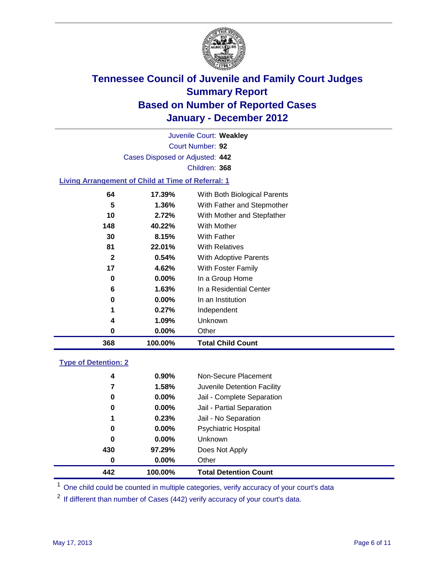

Court Number: **92** Juvenile Court: **Weakley** Cases Disposed or Adjusted: **442** Children: **368**

### **Living Arrangement of Child at Time of Referral: 1**

| 368 | 100.00%  | <b>Total Child Count</b>     |
|-----|----------|------------------------------|
| 0   | 0.00%    | Other                        |
| 4   | 1.09%    | Unknown                      |
| 1   | $0.27\%$ | Independent                  |
| 0   | 0.00%    | In an Institution            |
| 6   | 1.63%    | In a Residential Center      |
| 0   | 0.00%    | In a Group Home              |
| 17  | 4.62%    | With Foster Family           |
| 2   | 0.54%    | <b>With Adoptive Parents</b> |
| 81  | 22.01%   | <b>With Relatives</b>        |
| 30  | 8.15%    | With Father                  |
| 148 | 40.22%   | With Mother                  |
| 10  | 2.72%    | With Mother and Stepfather   |
| 5   | 1.36%    | With Father and Stepmother   |
| 64  | 17.39%   | With Both Biological Parents |
|     |          |                              |

#### **Type of Detention: 2**

| 442 | 100.00%  | <b>Total Detention Count</b> |
|-----|----------|------------------------------|
| 0   | $0.00\%$ | Other                        |
| 430 | 97.29%   | Does Not Apply               |
| 0   | $0.00\%$ | Unknown                      |
| 0   | 0.00%    | <b>Psychiatric Hospital</b>  |
| 1   | 0.23%    | Jail - No Separation         |
| 0   | $0.00\%$ | Jail - Partial Separation    |
| 0   | $0.00\%$ | Jail - Complete Separation   |
| 7   | 1.58%    | Juvenile Detention Facility  |
| 4   | 0.90%    | Non-Secure Placement         |
|     |          |                              |

<sup>1</sup> One child could be counted in multiple categories, verify accuracy of your court's data

<sup>2</sup> If different than number of Cases (442) verify accuracy of your court's data.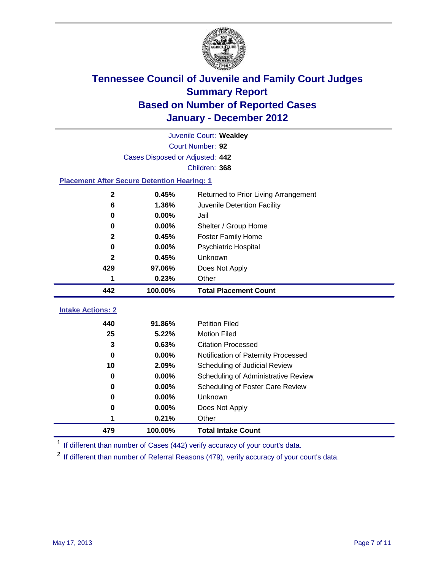

|                                                    | Juvenile Court: Weakley         |                                      |  |  |  |
|----------------------------------------------------|---------------------------------|--------------------------------------|--|--|--|
|                                                    | Court Number: 92                |                                      |  |  |  |
|                                                    | Cases Disposed or Adjusted: 442 |                                      |  |  |  |
|                                                    |                                 | Children: 368                        |  |  |  |
| <b>Placement After Secure Detention Hearing: 1</b> |                                 |                                      |  |  |  |
| $\mathbf 2$                                        | 0.45%                           | Returned to Prior Living Arrangement |  |  |  |
| 6                                                  | 1.36%                           | Juvenile Detention Facility          |  |  |  |
| $\bf{0}$                                           | 0.00%                           | Jail                                 |  |  |  |
| 0                                                  | 0.00%                           | Shelter / Group Home                 |  |  |  |
| $\mathbf{2}$                                       | 0.45%                           | Foster Family Home                   |  |  |  |
| $\bf{0}$                                           | 0.00%                           | Psychiatric Hospital                 |  |  |  |
| $\mathbf{2}$                                       | 0.45%                           | Unknown                              |  |  |  |
| 429                                                | 97.06%                          | Does Not Apply                       |  |  |  |
| 1                                                  | 0.23%                           | Other                                |  |  |  |
| 442                                                | 100.00%                         | <b>Total Placement Count</b>         |  |  |  |
| <b>Intake Actions: 2</b>                           |                                 |                                      |  |  |  |
| 440                                                | 91.86%                          | <b>Petition Filed</b>                |  |  |  |
| 25                                                 | 5.22%                           | <b>Motion Filed</b>                  |  |  |  |
| 3                                                  | 0.63%                           | <b>Citation Processed</b>            |  |  |  |
| 0                                                  | 0.00%                           | Notification of Paternity Processed  |  |  |  |
| 10                                                 | 2.09%                           | Scheduling of Judicial Review        |  |  |  |
| 0                                                  | 0.00%                           | Scheduling of Administrative Review  |  |  |  |
| 0                                                  | 0.00%                           | Scheduling of Foster Care Review     |  |  |  |
| 0                                                  | 0.00%                           | <b>Unknown</b>                       |  |  |  |
| 0                                                  | 0.00%                           | Does Not Apply                       |  |  |  |
| 1                                                  | 0.21%                           | Other                                |  |  |  |
|                                                    |                                 |                                      |  |  |  |
| 479                                                | 100.00%                         | <b>Total Intake Count</b>            |  |  |  |

<sup>1</sup> If different than number of Cases (442) verify accuracy of your court's data.

<sup>2</sup> If different than number of Referral Reasons (479), verify accuracy of your court's data.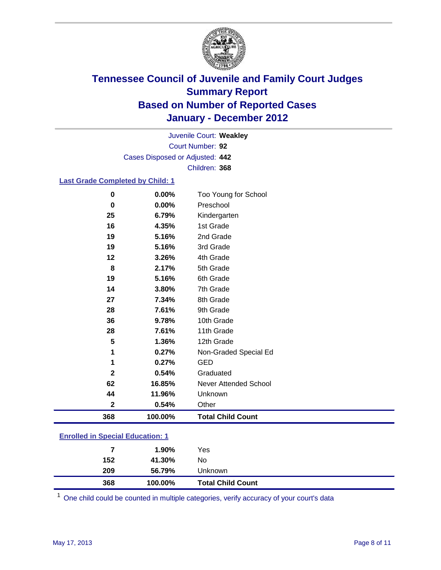

Court Number: **92** Juvenile Court: **Weakley** Cases Disposed or Adjusted: **442** Children: **368**

### **Last Grade Completed by Child: 1**

| 368          | 100.00% | <b>Total Child Count</b> |  |
|--------------|---------|--------------------------|--|
| $\mathbf{2}$ | 0.54%   | Other                    |  |
| 44           | 11.96%  | Unknown                  |  |
| 62           | 16.85%  | Never Attended School    |  |
| $\mathbf{2}$ | 0.54%   | Graduated                |  |
| 1            | 0.27%   | <b>GED</b>               |  |
| 1            | 0.27%   | Non-Graded Special Ed    |  |
| 5            | 1.36%   | 12th Grade               |  |
| 28           | 7.61%   | 11th Grade               |  |
| 36           | 9.78%   | 10th Grade               |  |
| 28           | 7.61%   | 9th Grade                |  |
| 27           | 7.34%   | 8th Grade                |  |
| 14           | 3.80%   | 7th Grade                |  |
| 19           | 5.16%   | 6th Grade                |  |
| 8            | 2.17%   | 5th Grade                |  |
| $12 \,$      | 3.26%   | 4th Grade                |  |
| 19           | 5.16%   | 3rd Grade                |  |
| 19           | 5.16%   | 2nd Grade                |  |
| 16           | 4.35%   | 1st Grade                |  |
| 25           | 6.79%   | Kindergarten             |  |
| 0            | 0.00%   | Preschool                |  |
| 0            | 0.00%   | Too Young for School     |  |

### **Enrolled in Special Education: 1**

|     | 1.90%   | Yes                      |
|-----|---------|--------------------------|
| 152 | 41.30%  | No                       |
| 209 | 56.79%  | Unknown                  |
| 368 | 100.00% | <b>Total Child Count</b> |

One child could be counted in multiple categories, verify accuracy of your court's data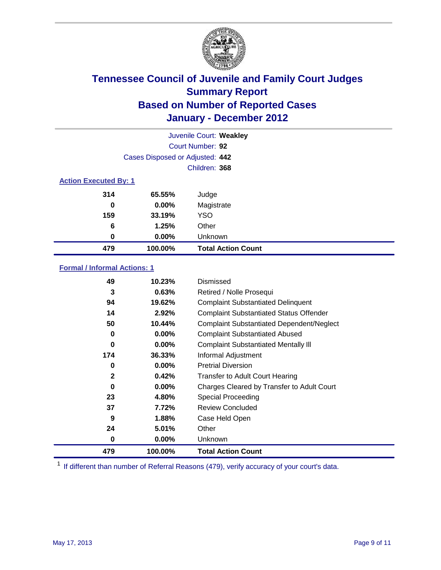

|                              | Juvenile Court: Weakley         |                           |  |
|------------------------------|---------------------------------|---------------------------|--|
|                              |                                 | Court Number: 92          |  |
|                              | Cases Disposed or Adjusted: 442 |                           |  |
|                              |                                 | Children: 368             |  |
| <b>Action Executed By: 1</b> |                                 |                           |  |
| 314                          | 65.55%                          | Judge                     |  |
| 0                            | $0.00\%$                        | Magistrate                |  |
| 159                          | 33.19%                          | <b>YSO</b>                |  |
| 6                            | 1.25%                           | Other                     |  |
| 0                            | 0.00%                           | Unknown                   |  |
| 479                          | 100.00%                         | <b>Total Action Count</b> |  |

### **Formal / Informal Actions: 1**

| 49           | 10.23%   | Dismissed                                        |
|--------------|----------|--------------------------------------------------|
| 3            | 0.63%    | Retired / Nolle Prosequi                         |
| 94           | 19.62%   | <b>Complaint Substantiated Delinquent</b>        |
| 14           | 2.92%    | <b>Complaint Substantiated Status Offender</b>   |
| 50           | 10.44%   | <b>Complaint Substantiated Dependent/Neglect</b> |
| 0            | 0.00%    | <b>Complaint Substantiated Abused</b>            |
| 0            | $0.00\%$ | <b>Complaint Substantiated Mentally III</b>      |
| 174          | 36.33%   | Informal Adjustment                              |
| 0            | $0.00\%$ | <b>Pretrial Diversion</b>                        |
| $\mathbf{2}$ | 0.42%    | <b>Transfer to Adult Court Hearing</b>           |
| 0            | $0.00\%$ | Charges Cleared by Transfer to Adult Court       |
| 23           | 4.80%    | Special Proceeding                               |
| 37           | 7.72%    | <b>Review Concluded</b>                          |
| 9            | 1.88%    | Case Held Open                                   |
| 24           | 5.01%    | Other                                            |
| 0            | $0.00\%$ | <b>Unknown</b>                                   |
| 479          | 100.00%  | <b>Total Action Count</b>                        |

<sup>1</sup> If different than number of Referral Reasons (479), verify accuracy of your court's data.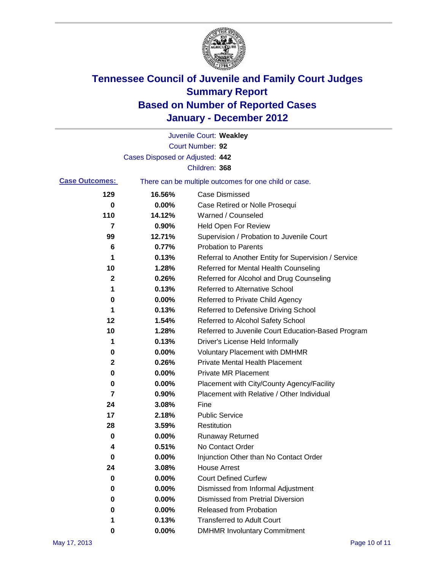

|                       |                                 | Juvenile Court: Weakley                               |
|-----------------------|---------------------------------|-------------------------------------------------------|
|                       |                                 | Court Number: 92                                      |
|                       | Cases Disposed or Adjusted: 442 |                                                       |
|                       |                                 | Children: 368                                         |
| <b>Case Outcomes:</b> |                                 | There can be multiple outcomes for one child or case. |
| 129                   | 16.56%                          | <b>Case Dismissed</b>                                 |
| 0                     | 0.00%                           | Case Retired or Nolle Prosequi                        |
| 110                   | 14.12%                          | Warned / Counseled                                    |
| 7                     | 0.90%                           | <b>Held Open For Review</b>                           |
| 99                    | 12.71%                          | Supervision / Probation to Juvenile Court             |
| 6                     | 0.77%                           | <b>Probation to Parents</b>                           |
| 1                     | 0.13%                           | Referral to Another Entity for Supervision / Service  |
| 10                    | 1.28%                           | Referred for Mental Health Counseling                 |
| $\mathbf 2$           | 0.26%                           | Referred for Alcohol and Drug Counseling              |
| 1                     | 0.13%                           | Referred to Alternative School                        |
| 0                     | 0.00%                           | Referred to Private Child Agency                      |
| 1                     | 0.13%                           | Referred to Defensive Driving School                  |
| 12                    | 1.54%                           | Referred to Alcohol Safety School                     |
| 10                    | 1.28%                           | Referred to Juvenile Court Education-Based Program    |
| 1                     | 0.13%                           | Driver's License Held Informally                      |
| 0                     | 0.00%                           | <b>Voluntary Placement with DMHMR</b>                 |
| 2                     | 0.26%                           | <b>Private Mental Health Placement</b>                |
| 0                     | 0.00%                           | <b>Private MR Placement</b>                           |
| 0                     | 0.00%                           | Placement with City/County Agency/Facility            |
| 7                     | 0.90%                           | Placement with Relative / Other Individual            |
| 24                    | 3.08%                           | Fine                                                  |
| 17                    | 2.18%                           | <b>Public Service</b>                                 |
| 28                    | 3.59%                           | Restitution                                           |
| 0                     | 0.00%                           | <b>Runaway Returned</b>                               |
| 4                     | 0.51%                           | No Contact Order                                      |
| $\bf{0}$              | 0.00%                           | Injunction Other than No Contact Order                |
| 24                    | 3.08%                           | <b>House Arrest</b>                                   |
| 0                     | 0.00%                           | <b>Court Defined Curfew</b>                           |
| 0                     | 0.00%                           | Dismissed from Informal Adjustment                    |
| 0                     | 0.00%                           | <b>Dismissed from Pretrial Diversion</b>              |
| 0                     | 0.00%                           | Released from Probation                               |
| 1                     | 0.13%                           | <b>Transferred to Adult Court</b>                     |
| 0                     | 0.00%                           | <b>DMHMR Involuntary Commitment</b>                   |